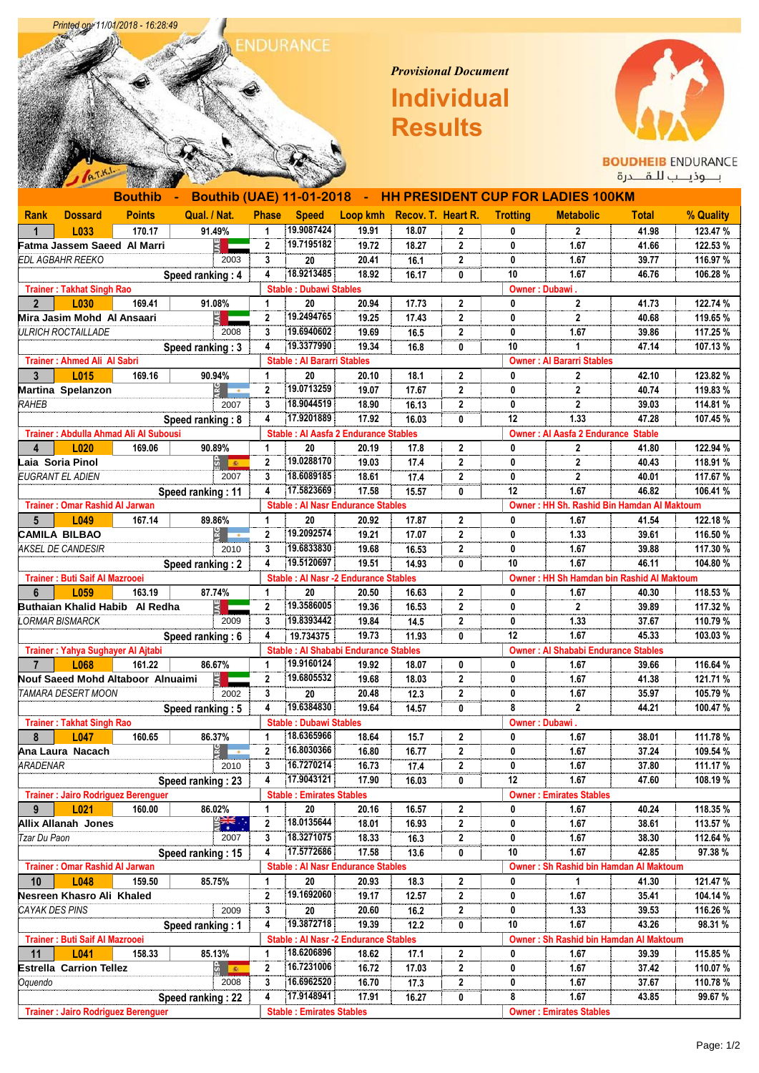

Printed on: 11/01/2018 - 16:28:49

## *Provisional Document*  **Individual Results**



BOUDHEIB ENDURANCE<br>بـــوذيــب للــقـــدرة

|                                           |                                       |                                           |                   |                |                                   |                                              |       |              |                                           | Bouthib - Bouthib (UAE) 11-01-2018 - HH PRESIDENT CUP FOR LADIES 100KM |              |           |  |
|-------------------------------------------|---------------------------------------|-------------------------------------------|-------------------|----------------|-----------------------------------|----------------------------------------------|-------|--------------|-------------------------------------------|------------------------------------------------------------------------|--------------|-----------|--|
| Rank                                      | <b>Dossard</b>                        | <b>Points</b>                             | Qual. / Nat.      | <b>Phase</b>   | <b>Speed</b>                      | Loop kmh Recov. T. Heart R.                  |       |              | <b>Trotting</b>                           | <b>Metabolic</b>                                                       | <b>Total</b> | % Quality |  |
| $\mathbf{1}$                              | L033                                  | 170.17                                    | 91.49%            | 1              | 19.9087424                        | 19.91                                        | 18.07 | 2            | 0                                         | $\mathbf{2}$                                                           | 41.98        | 123.47 %  |  |
|                                           |                                       | Fatma Jassem Saeed Al Marri               | š E               | $\mathbf{2}$   | 19.7195182                        | 19.72                                        | 18.27 | 2            | 0                                         | 1.67                                                                   | 41.66        | 122.53%   |  |
|                                           | EDL AGBAHR REEKO                      |                                           | 2003              | 3              | 20                                | 20.41                                        | 16.1  | $\mathbf{2}$ | 0                                         | 1.67                                                                   | 39.77        | 116.97 %  |  |
|                                           |                                       |                                           | Speed ranking: 4  | 4              | 18.9213485                        | 18.92                                        | 16.17 | 0            | 10                                        | 1.67                                                                   | 46.76        | 106.28%   |  |
|                                           | <b>Trainer: Takhat Singh Rao</b>      |                                           |                   |                | <b>Stable: Dubawi Stables</b>     |                                              |       |              |                                           | Owner: Dubawi.                                                         |              |           |  |
| $2^{\circ}$                               | L030                                  | 169.41                                    | 91.08%            | $\mathbf{1}$   | 20                                | 20.94                                        | 17.73 | $\mathbf{2}$ | 0                                         | $\mathbf{2}$                                                           | 41.73        | 122.74 %  |  |
|                                           | Mira Jasim Mohd Al Ansaari            |                                           |                   | $\mathbf{2}$   | 19.2494765                        | 19.25                                        | 17.43 | 2            | 0                                         | $\mathbf{2}$                                                           | 40.68        | 119.65%   |  |
|                                           | ULRICH ROCTAILLADE                    |                                           | 2008              | 3              | 19.6940602                        | 19.69                                        | 16.5  | $\mathbf{2}$ | 0                                         | 1.67                                                                   | 39.86        | 117.25 %  |  |
|                                           |                                       |                                           | Speed ranking: 3  | 4              | 19.3377990                        | 19.34                                        | 16.8  | 0            | 10                                        | $\mathbf{1}$                                                           | 47.14        | 107.13%   |  |
|                                           | <b>Trainer: Ahmed Ali Al Sabri</b>    |                                           |                   |                | <b>Stable: Al Bararri Stables</b> |                                              |       |              |                                           | <b>Owner: Al Bararri Stables</b>                                       |              |           |  |
| 3                                         | L015                                  | 169.16                                    | 90.94%            | 1.             | 20                                | 20.10                                        | 18.1  | 2            | 0                                         | $\mathbf{2}$                                                           | 42.10        | 123.82%   |  |
|                                           | Martina Spelanzon                     |                                           | $\frac{1}{2}$     | $\mathbf{2}$   | 19.0713259                        | 19.07                                        | 17.67 | $\mathbf{2}$ | 0                                         | $\mathbf{2}$                                                           | 40.74        | 119.83%   |  |
| RAHEB                                     |                                       |                                           | 2007              | 3              | 18.9044519                        | 18.90                                        | 16.13 | $\mathbf{2}$ | 0                                         | $\mathbf 2$                                                            | 39.03        | 114.81 %  |  |
|                                           |                                       |                                           | Speed ranking: 8  | 4              | 17.9201889                        | 17.92                                        | 16.03 | 0            | 12                                        | 1.33                                                                   | 47.28        | 107.45%   |  |
|                                           |                                       | Trainer: Abdulla Ahmad Ali Al Subousi     |                   |                |                                   | <b>Stable : Al Aasfa 2 Endurance Stables</b> |       |              |                                           | <b>Owner: Al Aasfa 2 Endurance Stable</b>                              |              |           |  |
| 4                                         | L020                                  | 169.06                                    | 90.89%            | $\mathbf{1}$   | 20                                | 20.19                                        | 17.8  | $\mathbf{2}$ | 0                                         | $\mathbf{2}$                                                           | 41.80        | 122.94 %  |  |
|                                           | Laia Soria Pinol                      |                                           | ង <mark>នេ</mark> | 2              | 19.0288170                        | 19.03                                        | 17.4  | $\mathbf{2}$ | 0                                         | $\mathbf{2}$                                                           | 40.43        | 118.91 %  |  |
|                                           | EUGRANT EL ADIEN                      |                                           | 2007              | 3              | 18.6089185                        | 18.61                                        | 17.4  | $\mathbf{2}$ | 0                                         | $\mathbf{2}$                                                           | 40.01        | 117.67 %  |  |
|                                           |                                       |                                           | Speed ranking: 11 | 4              | 17.5823669                        | 17.58                                        | 15.57 | 0            | 12                                        | 1.67                                                                   | 46.82        | 106.41%   |  |
|                                           | <b>Trainer: Omar Rashid AI Jarwan</b> |                                           |                   |                |                                   | <b>Stable : Al Nasr Endurance Stables</b>    |       |              |                                           | Owner: HH Sh. Rashid Bin Hamdan Al Maktoum                             |              |           |  |
| $5^{\circ}$                               | L049                                  | 167.14                                    | 89.86%            | 1              | 20                                | 20.92                                        | 17.87 | $\mathbf{2}$ | 0                                         | 1.67                                                                   | 41.54        | 122.18 %  |  |
|                                           | <b>CAMILA BILBAO</b>                  |                                           | $rac{6}{5}$       | $\mathbf{2}$   | 19.2092574                        | 19.21                                        | 17.07 | 2            | 0                                         | 1.33                                                                   | 39.61        | 116.50 %  |  |
|                                           | AKSEL DE CANDESIR                     |                                           | 2010              | 3              | 19.6833830                        | 19.68                                        | 16.53 | $\mathbf{2}$ | 0                                         | 1.67                                                                   | 39.88        | 117.30%   |  |
|                                           |                                       |                                           | Speed ranking: 2  | 4              | 19.5120697                        | 19.51                                        | 14.93 | 0            | 10                                        | 1.67                                                                   | 46.11        | 104.80%   |  |
| Trainer: Buti Saif Al Mazrooei            |                                       |                                           |                   |                |                                   | <b>Stable : Al Nasr -2 Endurance Stables</b> |       |              | Owner: HH Sh Hamdan bin Rashid Al Maktoum |                                                                        |              |           |  |
| 6                                         | L <sub>059</sub>                      | 163.19                                    | 87.74%            | 1              | 20                                | 20.50                                        | 16.63 | 2            | 0                                         | 1.67                                                                   | 40.30        | 118.53%   |  |
|                                           |                                       | Buthaian Khalid Habib Al Redha            | ₹                 | 2              | 19.3586005                        | 19.36                                        | 16.53 | 2            | 0                                         | $\mathbf{2}$                                                           | 39.89        | 117.32 %  |  |
|                                           | ORMAR BISMARCK                        |                                           | 2009              | 3              | 19.8393442                        | 19.84                                        | 14.5  | 2            | 0                                         | 1.33                                                                   | 37.67        | 110.79%   |  |
|                                           |                                       |                                           | Speed ranking: 6  | 4              | 19.734375                         | 19.73                                        | 11.93 | 0            | 12                                        | 1.67                                                                   | 45.33        | 103.03%   |  |
|                                           |                                       | Trainer: Yahya Sughayer Al Ajtabi         |                   |                |                                   | <b>Stable : Al Shababi Endurance Stables</b> |       |              |                                           | <b>Owner: Al Shababi Endurance Stables</b>                             |              |           |  |
| $\overline{7}$                            | L068                                  | 161.22                                    | 86.67%            | $\mathbf 1$    | 19.9160124                        | 19.92                                        | 18.07 | 0            | 0                                         | 1.67                                                                   | 39.66        | 116.64 %  |  |
|                                           |                                       | Nouf Saeed Mohd Altaboor Alnuaimi         |                   | $\mathbf{2}$   | 19.6805532                        | 19.68                                        | 18.03 | 2            | 0                                         | 1.67                                                                   | 41.38        | 121.71%   |  |
|                                           | TAMARA DESERT MOON                    |                                           | 2002              | 3              | 20                                | 20.48                                        | 12.3  | $\mathbf{2}$ | 0                                         | 1.67                                                                   | 35.97        | 105.79%   |  |
|                                           |                                       |                                           | Speed ranking: 5  | 4              | 19.6384830                        | 19.64                                        | 14.57 | 0            | 8                                         | $\mathbf{2}$                                                           | 44.21        | 100.47%   |  |
|                                           | <b>Trainer: Takhat Singh Rao</b>      |                                           |                   |                | <b>Stable: Dubawi Stables</b>     |                                              |       |              |                                           | Owner: Dubawi.                                                         |              |           |  |
| 8                                         | L047                                  | 160.65                                    | 86.37%            | 1              | 18.6365966                        | 18.64                                        | 15.7  | $\mathbf{2}$ | 0                                         | 1.67                                                                   | 38.01        | 111.78 %  |  |
|                                           | Ana Laura Nacach                      |                                           | $rac{1}{2}$       | $\overline{2}$ | 16.8030366                        | 16.80                                        | 16.77 | $\mathbf{2}$ | 0                                         | 1.67                                                                   | 37.24        | 109.54 %  |  |
| ARADENAR                                  |                                       |                                           | 2010              | 3              | 16.7270214                        | 16.73                                        | 17.4  | 2            | 0                                         | 1.67                                                                   | 37.80        | 111.17 %  |  |
|                                           |                                       |                                           | Speed ranking: 23 | 4              | 17.9043121                        | 17.90                                        | 16.03 | 0            | 12                                        | 1.67                                                                   | 47.60        | 108.19 %  |  |
|                                           |                                       | <b>Trainer: Jairo Rodriguez Berenguer</b> |                   |                | <b>Stable: Emirates Stables</b>   |                                              |       |              |                                           | <b>Owner: Emirates Stables</b>                                         |              |           |  |
| 9                                         | L021                                  | 160.00                                    | 86.02%            | $\mathbf{1}$   | 20                                | 20.16                                        | 16.57 | $\mathbf{2}$ | 0                                         | 1.67                                                                   | 40.24        | 118.35 %  |  |
|                                           | Allix Allanah Jones                   |                                           | ≌हरू              | 2              | 18.0135644                        | 18.01                                        | 16.93 | 2            | 0                                         | 1.67                                                                   | 38.61        | 113.57 %  |  |
| Tzar Du Paon                              |                                       |                                           | 2007              | 3              | 18.3271075                        | 18.33                                        | 16.3  | 2            | 0                                         | 1.67                                                                   | 38.30        | 112.64 %  |  |
|                                           |                                       |                                           | Speed ranking: 15 | 4              | 17.5772686                        | 17.58                                        | 13.6  | 0            | 10                                        | 1.67                                                                   | 42.85        | 97.38%    |  |
| <b>Trainer: Omar Rashid Al Jarwan</b>     |                                       |                                           |                   |                |                                   | <b>Stable : Al Nasr Endurance Stables</b>    |       |              |                                           | Owner: Sh Rashid bin Hamdan Al Maktoum                                 |              |           |  |
| 10                                        | L048                                  | 159.50                                    | 85.75%            | 1              | 20                                | 20.93                                        | 18.3  | 2            | 0                                         | 1                                                                      | 41.30        | 121.47 %  |  |
|                                           | Nesreen Khasro Ali Khaled             |                                           |                   | 2              | 19.1692060                        | 19.17                                        | 12.57 | 2            | 0                                         | 1.67                                                                   | 35.41        | 104.14 %  |  |
| CAYAK DES PINS                            |                                       |                                           | 2009              | 3              | 20                                | 20.60                                        | 16.2  | $\mathbf 2$  | 0                                         | 1.33                                                                   | 39.53        | 116.26%   |  |
|                                           |                                       |                                           | Speed ranking: 1  | 4              | 19.3872718                        | 19.39                                        | 12.2  | 0            | 10                                        | 1.67                                                                   | 43.26        | 98.31 %   |  |
|                                           | Trainer: Buti Saif Al Mazrooei        |                                           |                   |                |                                   | <b>Stable : Al Nasr -2 Endurance Stables</b> |       |              |                                           | Owner: Sh Rashid bin Hamdan Al Maktoum                                 |              |           |  |
| 11                                        | L041                                  | 158.33                                    | 85.13%            | $\mathbf{1}$   | 18.6206896                        | 18.62                                        | 17.1  | 2            | 0                                         | 1.67                                                                   | 39.39        | 115.85%   |  |
|                                           | <b>Estrella Carrion Tellez</b>        |                                           | ង្ហ <sub>ាន</sub> | $\mathbf 2$    | 16.7231006                        | 16.72                                        | 17.03 | $\mathbf 2$  | 0                                         | 1.67                                                                   | 37.42        | 110.07%   |  |
| Oquendo                                   |                                       |                                           | 2008              | 3              | 16.6962520                        | 16.70                                        | 17.3  | $\mathbf 2$  | 0                                         | 1.67                                                                   | 37.67        | 110.78%   |  |
|                                           |                                       |                                           | Speed ranking: 22 | 4              | 17.9148941                        | 17.91                                        | 16.27 | 0            | 8                                         | 1.67                                                                   | 43.85        | 99.67 %   |  |
| <b>Trainer: Jairo Rodriguez Berenguer</b> |                                       |                                           |                   |                | <b>Stable: Emirates Stables</b>   |                                              |       |              |                                           | <b>Owner: Emirates Stables</b>                                         |              |           |  |